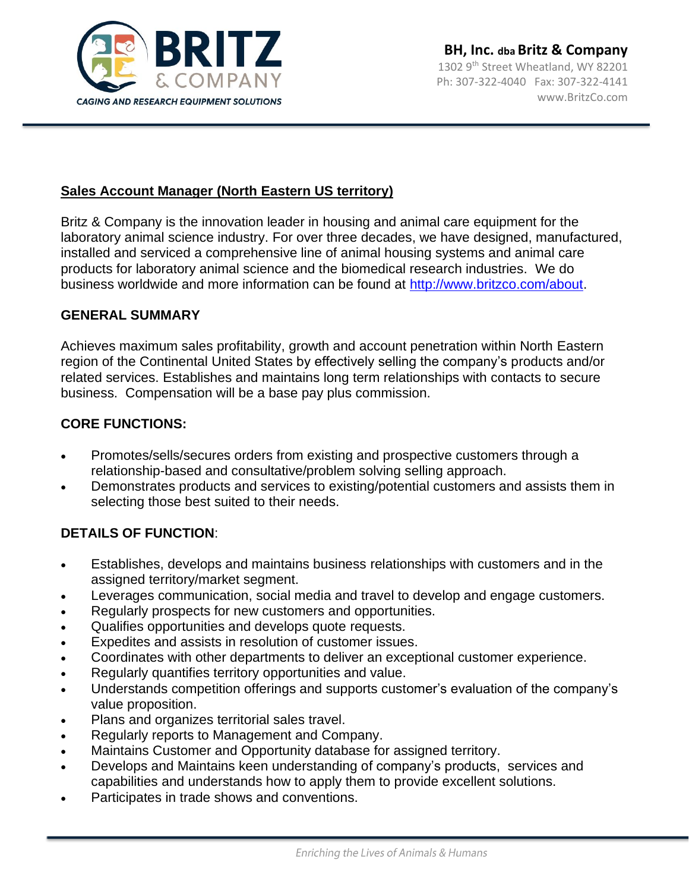

## **Sales Account Manager (North Eastern US territory)**

Britz & Company is the innovation leader in housing and animal care equipment for the laboratory animal science industry. For over three decades, we have designed, manufactured, installed and serviced a comprehensive line of animal housing systems and animal care products for laboratory animal science and the biomedical research industries. We do business worldwide and more information can be found at [http://www.britzco.com/about.](http://www.britzco.com/about)

### **GENERAL SUMMARY**

Achieves maximum sales profitability, growth and account penetration within North Eastern region of the Continental United States by effectively selling the company's products and/or related services. Establishes and maintains long term relationships with contacts to secure business. Compensation will be a base pay plus commission.

### **CORE FUNCTIONS:**

- Promotes/sells/secures orders from existing and prospective customers through a relationship-based and consultative/problem solving selling approach.
- Demonstrates products and services to existing/potential customers and assists them in selecting those best suited to their needs.

# **DETAILS OF FUNCTION**:

- Establishes, develops and maintains business relationships with customers and in the assigned territory/market segment.
- Leverages communication, social media and travel to develop and engage customers.
- Regularly prospects for new customers and opportunities.
- Qualifies opportunities and develops quote requests.
- Expedites and assists in resolution of customer issues.
- Coordinates with other departments to deliver an exceptional customer experience.
- Regularly quantifies territory opportunities and value.
- Understands competition offerings and supports customer's evaluation of the company's value proposition.
- Plans and organizes territorial sales travel.
- Regularly reports to Management and Company.
- Maintains Customer and Opportunity database for assigned territory.
- Develops and Maintains keen understanding of company's products, services and capabilities and understands how to apply them to provide excellent solutions.
- Participates in trade shows and conventions.